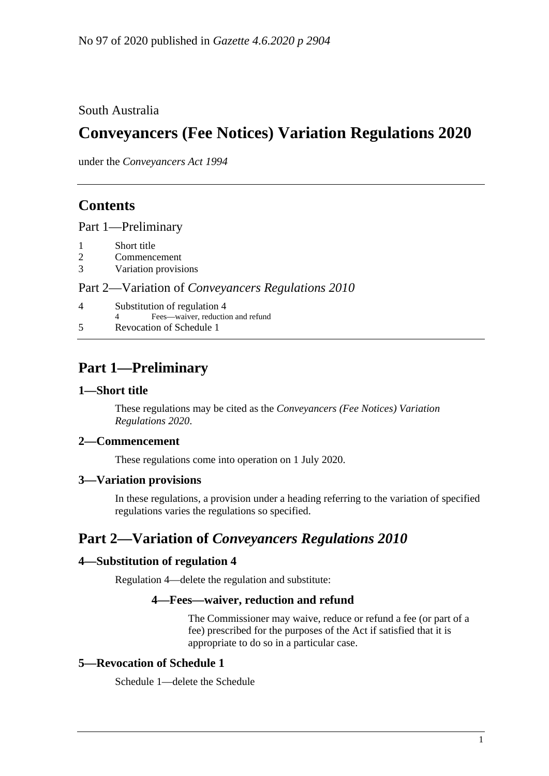## South Australia

# **Conveyancers (Fee Notices) Variation Regulations 2020**

under the *Conveyancers Act 1994*

## **Contents**

Part [1—Preliminary](#page-0-0)

- 1 [Short title](#page-0-1)
- 2 [Commencement](#page-0-2)
- 3 [Variation provisions](#page-0-3)

### Part 2—Variation of *[Conveyancers Regulations](#page-0-4) 2010*

- 4 [Substitution of regulation 4](#page-0-5)
- 4 Fees—waiver, reduction and refund
- 5 [Revocation of Schedule 1](#page-0-6)

# <span id="page-0-0"></span>**Part 1—Preliminary**

### <span id="page-0-1"></span>**1—Short title**

These regulations may be cited as the *Conveyancers (Fee Notices) Variation Regulations 2020*.

### <span id="page-0-2"></span>**2—Commencement**

These regulations come into operation on 1 July 2020.

#### <span id="page-0-3"></span>**3—Variation provisions**

In these regulations, a provision under a heading referring to the variation of specified regulations varies the regulations so specified.

## <span id="page-0-4"></span>**Part 2—Variation of** *Conveyancers Regulations 2010*

#### <span id="page-0-5"></span>**4—Substitution of regulation 4**

Regulation 4—delete the regulation and substitute:

### **4—Fees—waiver, reduction and refund**

The Commissioner may waive, reduce or refund a fee (or part of a fee) prescribed for the purposes of the Act if satisfied that it is appropriate to do so in a particular case.

## <span id="page-0-6"></span>**5—Revocation of Schedule 1**

Schedule 1—delete the Schedule